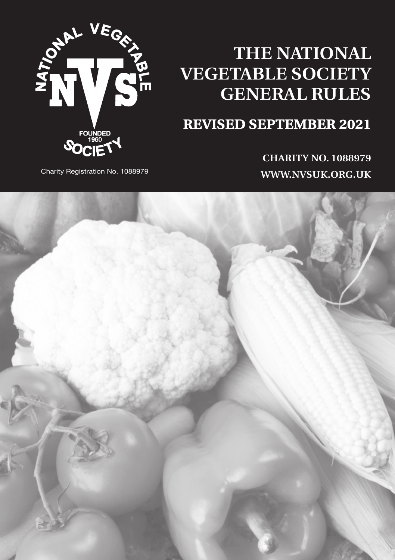

# **THE NATIONAL VEGETABLE SOCIETY GENERAL RULES**

# **REVISED SEPTEMBER 2021**

**CHARITY NO. 1088979** Charity Registration No. 1088979 **WWW.NVSUK.ORG.UK** 

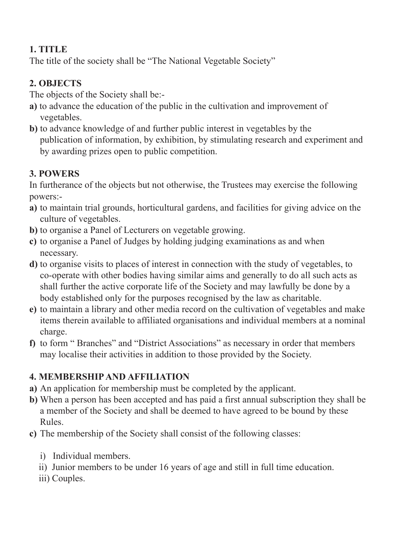# **1. TITLE**

The title of the society shall be "The National Vegetable Society"

# **2. OBJECTS**

The objects of the Society shall be:-

- **a)** to advance the education of the public in the cultivation and improvement of vegetables.
- **b)** to advance knowledge of and further public interest in vegetables by the publication of information, by exhibition, by stimulating research and experiment and by awarding prizes open to public competition.

# **3. POWERS**

In furtherance of the objects but not otherwise, the Trustees may exercise the following powers:-

- **a)** to maintain trial grounds, horticultural gardens, and facilities for giving advice on the culture of vegetables.
- **b)** to organise a Panel of Lecturers on vegetable growing.
- **c)** to organise a Panel of Judges by holding judging examinations as and when necessary.
- **d)** to organise visits to places of interest in connection with the study of vegetables, to co-operate with other bodies having similar aims and generally to do all such acts as shall further the active corporate life of the Society and may lawfully be done by a body established only for the purposes recognised by the law as charitable.
- **e)** to maintain a library and other media record on the cultivation of vegetables and make items therein available to affiliated organisations and individual members at a nominal charge.
- **f)** to form " Branches" and "District Associations" as necessary in order that members may localise their activities in addition to those provided by the Society.

### **4. MEMBERSHIPAND AFFILIATION**

- **a)** An application for membership must be completed by the applicant.
- **b)** When a person has been accepted and has paid a first annual subscription they shall be a member of the Society and shall be deemed to have agreed to be bound by these Rules.
- **c)** The membership of the Society shall consist of the following classes:
	- i) Individual members.
	- ii) Junior members to be under 16 years of age and still in full time education.
	- iii) Couples.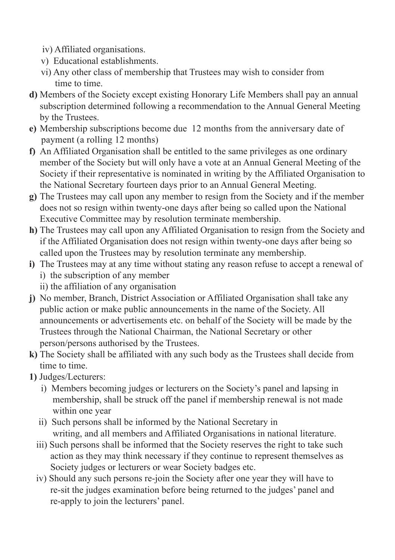- iv) Affiliated organisations.
- v) Educational establishments.
- vi) Any other class of membership that Trustees may wish to consider from time to time.
- **d)** Members of the Society except existing Honorary Life Members shall pay an annual subscription determined following a recommendation to the Annual General Meeting by the Trustees.
- **e)** Membership subscriptions become due 12 months from the anniversary date of payment (a rolling 12 months)
- **f)** An Affiliated Organisation shall be entitled to the same privileges as one ordinary member of the Society but will only have a vote at an Annual General Meeting of the Society if their representative is nominated in writing by the Affiliated Organisation to the National Secretary fourteen days prior to an Annual General Meeting.
- **g)** The Trustees may call upon any member to resign from the Society and if the member does not so resign within twenty-one days after being so called upon the National Executive Committee may by resolution terminate membership.
- **h)** The Trustees may call upon any Affiliated Organisation to resign from the Society and if the Affiliated Organisation does not resign within twenty-one days after being so called upon the Trustees may by resolution terminate any membership.
- **i)** The Trustees may at any time without stating any reason refuse to accept a renewal of i) the subscription of any member
	- ii) the affiliation of any organisation
- **j)** No member, Branch, District Association or Affiliated Organisation shall take any public action or make public announcements in the name of the Society. All announcements or advertisements etc. on behalf of the Society will be made by the Trustees through the National Chairman, the National Secretary or other person/persons authorised by the Trustees.
- **k)** The Society shall be affiliated with any such body as the Trustees shall decide from time to time.
- **1)** Judges/Lecturers:
	- i) Members becoming judges or lecturers on the Society's panel and lapsing in membership, shall be struck off the panel if membership renewal is not made within one year
	- ii) Such persons shall be informed by the National Secretary in writing, and all members and Affiliated Organisations in national literature.
	- iii) Such persons shall be informed that the Society reserves the right to take such action as they may think necessary if they continue to represent themselves as Society judges or lecturers or wear Society badges etc.
	- iv) Should any such persons re-join the Society after one year they will have to re-sit the judges examination before being returned to the judges' panel and re-apply to join the lecturers' panel.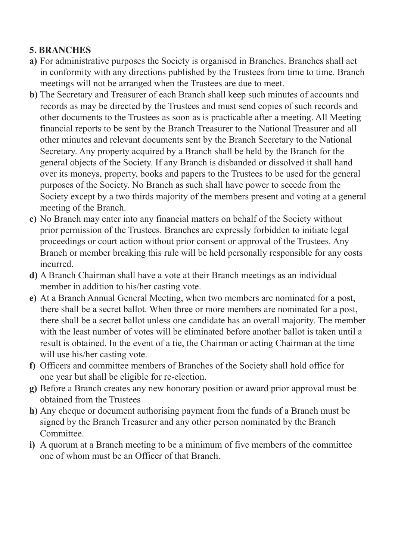#### **5. BRANCHES**

- **a)** For administrative purposes the Society is organised in Branches. Branches shall act in conformity with any directions published by the Trustees from time to time. Branch meetings will not be arranged when the Trustees are due to meet.
- **b)** The Secretary and Treasurer of each Branch shall keep such minutes of accounts and records as may be directed by the Trustees and must send copies of such records and other documents to the Trustees as soon as is practicable after a meeting. All Meeting financial reports to be sent by the Branch Treasurer to the National Treasurer and all other minutes and relevant documents sent by the Branch Secretary to the National Secretary. Any property acquired by a Branch shall be held by the Branch for the general objects of the Society. If any Branch is disbanded or dissolved it shall hand over its moneys, property, books and papers to the Trustees to be used for the general purposes of the Society. No Branch as such shall have power to secede from the Society except by a two thirds majority of the members present and voting at a general meeting of the Branch.
- **c)** No Branch may enter into any financial matters on behalf of the Society without prior permission of the Trustees. Branches are expressly forbidden to initiate legal proceedings or court action without prior consent or approval of the Trustees. Any Branch or member breaking this rule will be held personally responsible for any costs incurred.
- **d)** A Branch Chairman shall have a vote at their Branch meetings as an individual member in addition to his/her casting vote.
- **e)** At a Branch Annual General Meeting, when two members are nominated for a post, there shall be a secret ballot. When three or more members are nominated for a post, there shall be a secret ballot unless one candidate has an overall majority. The member with the least number of votes will be eliminated before another ballot is taken until a result is obtained. In the event of a tie, the Chairman or acting Chairman at the time will use his/her casting vote.
- **f)** Officers and committee members of Branches of the Society shall hold office for one year but shall be eligible for re-election.
- **g)** Before a Branch creates any new honorary position or award prior approval must be obtained from the Trustees
- **h)** Any cheque or document authorising payment from the funds of a Branch must be signed by the Branch Treasurer and any other person nominated by the Branch **Committee**
- **i)** A quorum at a Branch meeting to be a minimum of five members of the committee one of whom must be an Officer of that Branch.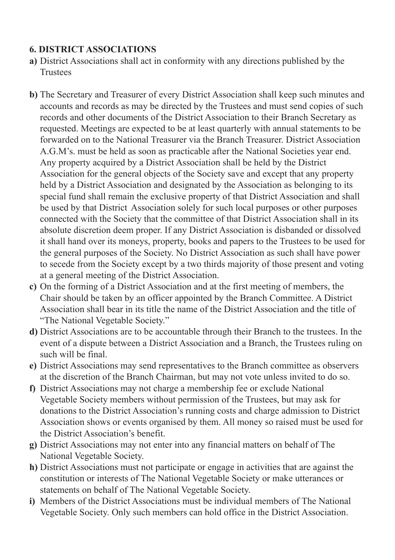#### **6. DISTRICT ASSOCIATIONS**

- **a)** District Associations shall act in conformity with any directions published by the **Trustees**
- **b)** The Secretary and Treasurer of every District Association shall keep such minutes and accounts and records as may be directed by the Trustees and must send copies of such records and other documents of the District Association to their Branch Secretary as requested. Meetings are expected to be at least quarterly with annual statements to be forwarded on to the National Treasurer via the Branch Treasurer. District Association A.G.M's. must be held as soon as practicable after the National Societies year end. Any property acquired by a District Association shall be held by the District Association for the general objects of the Society save and except that any property held by a District Association and designated by the Association as belonging to its special fund shall remain the exclusive property of that District Association and shall be used by that District Association solely for such local purposes or other purposes connected with the Society that the committee of that District Association shall in its absolute discretion deem proper. If any District Association is disbanded or dissolved it shall hand over its moneys, property, books and papers to the Trustees to be used for the general purposes of the Society. No District Association as such shall have power to secede from the Society except by a two thirds majority of those present and voting at a general meeting of the District Association.
- **c)** On the forming of a District Association and at the first meeting of members, the Chair should be taken by an officer appointed by the Branch Committee. A District Association shall bear in its title the name of the District Association and the title of "The National Vegetable Society."
- **d)** District Associations are to be accountable through their Branch to the trustees. In the event of a dispute between a District Association and a Branch, the Trustees ruling on such will be final.
- **e)** District Associations may send representatives to the Branch committee as observers at the discretion of the Branch Chairman, but may not vote unless invited to do so.
- **f)** District Associations may not charge a membership fee or exclude National Vegetable Society members without permission of the Trustees, but may ask for donations to the District Association's running costs and charge admission to District Association shows or events organised by them. All money so raised must be used for the District Association's benefit.
- **g)** District Associations may not enter into any financial matters on behalf of The National Vegetable Society.
- **h)** District Associations must not participate or engage in activities that are against the constitution or interests of The National Vegetable Society or make utterances or statements on behalf of The National Vegetable Society.
- **i)** Members of the District Associations must be individual members of The National Vegetable Society. Only such members can hold office in the District Association.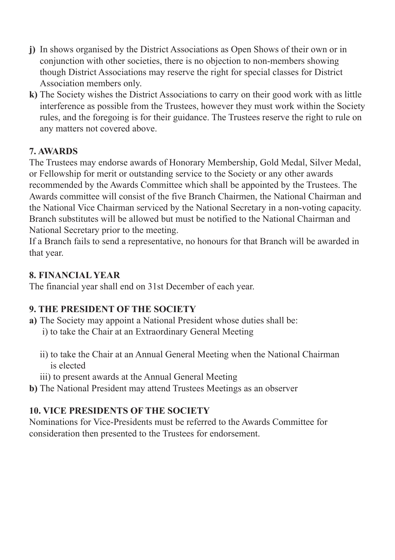- **j)** In shows organised by the District Associations as Open Shows of their own or in conjunction with other societies, there is no objection to non-members showing though District Associations may reserve the right for special classes for District Association members only.
- **k)** The Society wishes the District Associations to carry on their good work with as little interference as possible from the Trustees, however they must work within the Society rules, and the foregoing is for their guidance. The Trustees reserve the right to rule on any matters not covered above.

#### **7. AWARDS**

The Trustees may endorse awards of Honorary Membership, Gold Medal, Silver Medal, or Fellowship for merit or outstanding service to the Society or any other awards recommended by the Awards Committee which shall be appointed by the Trustees. The Awards committee will consist of the five Branch Chairmen, the National Chairman and the National Vice Chairman serviced by the National Secretary in a non-voting capacity. Branch substitutes will be allowed but must be notified to the National Chairman and National Secretary prior to the meeting.

If a Branch fails to send a representative, no honours for that Branch will be awarded in that year.

#### **8. FINANCIAL YEAR**

The financial year shall end on 31st December of each year.

#### **9. THE PRESIDENT OF THE SOCIETY**

- **a)** The Society may appoint a National President whose duties shall be:
	- i) to take the Chair at an Extraordinary General Meeting
	- ii) to take the Chair at an Annual General Meeting when the National Chairman is elected
	- iii) to present awards at the Annual General Meeting
- **b)** The National President may attend Trustees Meetings as an observer

#### **10. VICE PRESIDENTS OF THE SOCIETY**

Nominations for Vice-Presidents must be referred to the Awards Committee for consideration then presented to the Trustees for endorsement.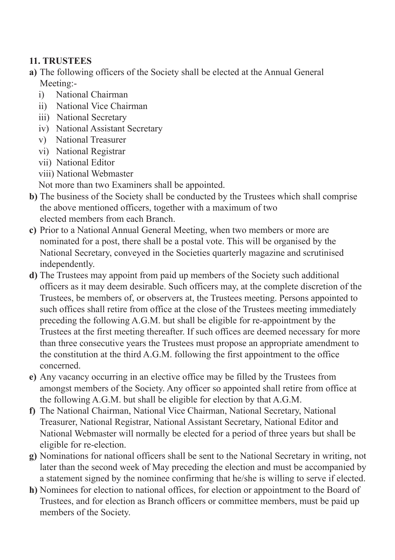#### **11. TRUSTEES**

- **a)** The following officers of the Society shall be elected at the Annual General Meeting:
	- i) National Chairman
	- ii) National Vice Chairman
	- iii) National Secretary
	- iv) National Assistant Secretary
	- v) National Treasurer
	- vi) National Registrar
	- vii) National Editor
	- viii) National Webmaster
	- Not more than two Examiners shall be appointed.
- **b)** The business of the Society shall be conducted by the Trustees which shall comprise the above mentioned officers, together with a maximum of two elected members from each Branch.
- **c)** Prior to a National Annual General Meeting, when two members or more are nominated for a post, there shall be a postal vote. This will be organised by the National Secretary, conveyed in the Societies quarterly magazine and scrutinised independently.
- **d)** The Trustees may appoint from paid up members of the Society such additional officers as it may deem desirable. Such officers may, at the complete discretion of the Trustees, be members of, or observers at, the Trustees meeting. Persons appointed to such offices shall retire from office at the close of the Trustees meeting immediately preceding the following A.G.M. but shall be eligible for re-appointment by the Trustees at the first meeting thereafter. If such offices are deemed necessary for more than three consecutive years the Trustees must propose an appropriate amendment to the constitution at the third A.G.M. following the first appointment to the office concerned.
- **e)** Any vacancy occurring in an elective office may be filled by the Trustees from amongst members of the Society. Any officer so appointed shall retire from office at the following A.G.M. but shall be eligible for election by that A.G.M.
- **f)** The National Chairman, National Vice Chairman, National Secretary, National Treasurer, National Registrar, National Assistant Secretary, National Editor and National Webmaster will normally be elected for a period of three years but shall be eligible for re-election.
- **g)** Nominations for national officers shall be sent to the National Secretary in writing, not later than the second week of May preceding the election and must be accompanied by a statement signed by the nominee confirming that he/she is willing to serve if elected.
- **h)** Nominees for election to national offices, for election or appointment to the Board of Trustees, and for election as Branch officers or committee members, must be paid up members of the Society.